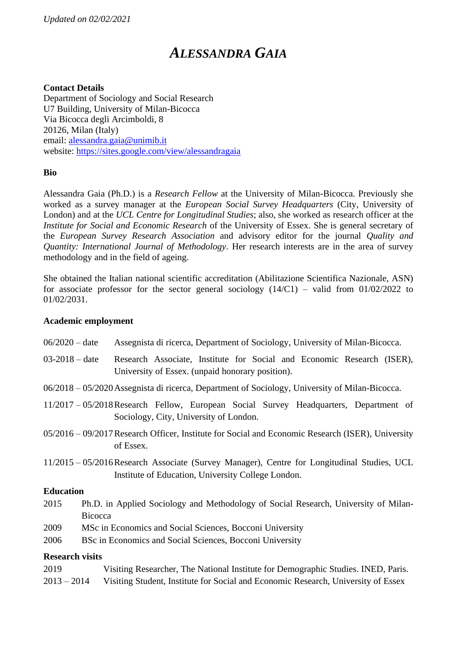# *ALESSANDRA GAIA*

# **Contact Details**

Department of Sociology and Social Research U7 Building, University of Milan-Bicocca Via Bicocca degli Arcimboldi, 8 20126, Milan (Italy) email: [alessandra.gaia@unimib.it](mailto:alessandra.gaia@unimib.it) website:<https://sites.google.com/view/alessandragaia>

#### **Bio**

Alessandra Gaia (Ph.D.) is a *Research Fellow* at the University of Milan-Bicocca. Previously she worked as a survey manager at the *European Social Survey Headquarters* (City, University of London) and at the *UCL Centre for Longitudinal Studies*; also, she worked as research officer at the *Institute for Social and Economic Research* of the University of Essex. She is general secretary of the *European Survey Research Association* and advisory editor for the journal *Quality and Quantity: International Journal of Methodology*. Her research interests are in the area of survey methodology and in the field of ageing.

She obtained the Italian national scientific accreditation (Abilitazione Scientifica Nazionale, ASN) for associate professor for the sector general sociology  $(14/C1)$  – valid from  $01/02/2022$  to 01/02/2031.

#### **Academic employment**

- 06/2020 date Assegnista di ricerca, Department of Sociology, University of Milan-Bicocca.
- 03-2018 date Research Associate, Institute for Social and Economic Research (ISER), University of Essex. (unpaid honorary position).
- 06/2018 05/2020Assegnista di ricerca, Department of Sociology, University of Milan-Bicocca.
- 11/2017 05/2018Research Fellow, European Social Survey Headquarters, Department of Sociology, City, University of London.
- 05/2016 09/2017Research Officer, Institute for Social and Economic Research (ISER), University of Essex.
- 11/2015 05/2016Research Associate (Survey Manager), Centre for Longitudinal Studies, UCL Institute of Education, University College London.

#### **Education**

- 2015 Ph.D. in Applied Sociology and Methodology of Social Research, University of Milan-**Bicocca**
- 2009 MSc in Economics and Social Sciences, Bocconi University
- 2006 BSc in Economics and Social Sciences, Bocconi University

# **Research visits**

2019 Visiting Researcher, The National Institute for Demographic Studies. INED, Paris. 2013 – 2014 Visiting Student, Institute for Social and Economic Research, University of Essex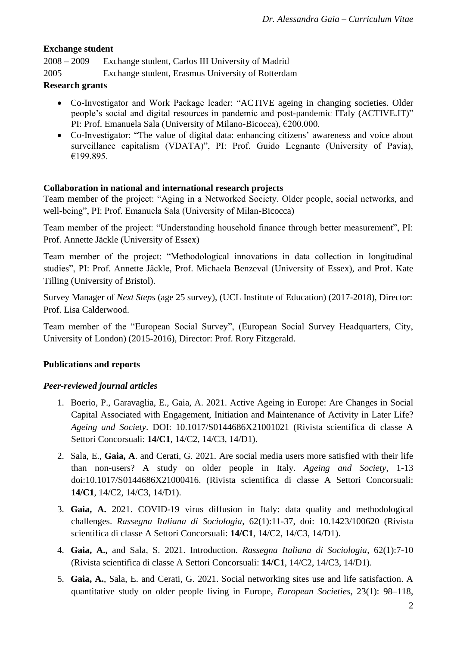# **Exchange student**

2008 – 2009 Exchange student, Carlos III University of Madrid

2005 Exchange student, Erasmus University of Rotterdam

# **Research grants**

- Co-Investigator and Work Package leader: "ACTIVE ageing in changing societies. Older people's social and digital resources in pandemic and post-pandemic ITaly (ACTIVE.IT)" PI: Prof. Emanuela Sala (University of Milano-Bicocca), €200.000.
- Co-Investigator: "The value of digital data: enhancing citizens' awareness and voice about surveillance capitalism (VDATA)", PI: Prof. Guido Legnante (University of Pavia), €199.895.

# **Collaboration in national and international research projects**

Team member of the project: "Aging in a Networked Society. Older people, social networks, and well-being", PI: Prof. Emanuela Sala (University of Milan-Bicocca)

Team member of the project: "Understanding household finance through better measurement", PI: Prof. Annette Jäckle (University of Essex)

Team member of the project: "Methodological innovations in data collection in longitudinal studies", PI: Prof. Annette Jäckle, Prof. Michaela Benzeval (University of Essex), and Prof. Kate Tilling (University of Bristol).

Survey Manager of *Next Steps* (age 25 survey), (UCL Institute of Education) (2017-2018), Director: Prof. Lisa Calderwood.

Team member of the "European Social Survey", (European Social Survey Headquarters, City, University of London) (2015-2016), Director: Prof. Rory Fitzgerald.

# **Publications and reports**

# *Peer-reviewed journal articles*

- 1. Boerio, P., Garavaglia, E., Gaia, A. 2021. Active Ageing in Europe: Are Changes in Social Capital Associated with Engagement, Initiation and Maintenance of Activity in Later Life? *Ageing and Society*. DOI: 10.1017/S0144686X21001021 (Rivista scientifica di classe A Settori Concorsuali: **14/C1**, 14/C2, 14/C3, 14/D1).
- 2. Sala, E., **Gaia, A**. and Cerati, G. 2021. Are social media users more satisfied with their life than non-users? A study on older people in Italy. *Ageing and Society*, 1-13 doi:10.1017/S0144686X21000416. (Rivista scientifica di classe A Settori Concorsuali: **14/C1**, 14/C2, 14/C3, 14/D1).
- 3. **Gaia, A.** 2021. COVID-19 virus diffusion in Italy: data quality and methodological challenges. *Rassegna Italiana di Sociologia*, 62(1):11-37, doi: 10.1423/100620 (Rivista scientifica di classe A Settori Concorsuali: **14/C1**, 14/C2, 14/C3, 14/D1).
- 4. **Gaia, A.,** and Sala, S. 2021. Introduction. *Rassegna Italiana di Sociologia*, 62(1):7-10 (Rivista scientifica di classe A Settori Concorsuali: **14/C1**, 14/C2, 14/C3, 14/D1).
- 5. **Gaia, A.**, Sala, E. and Cerati, G. 2021. Social networking sites use and life satisfaction. A quantitative study on older people living in Europe, *European Societies*, 23(1): 98–118,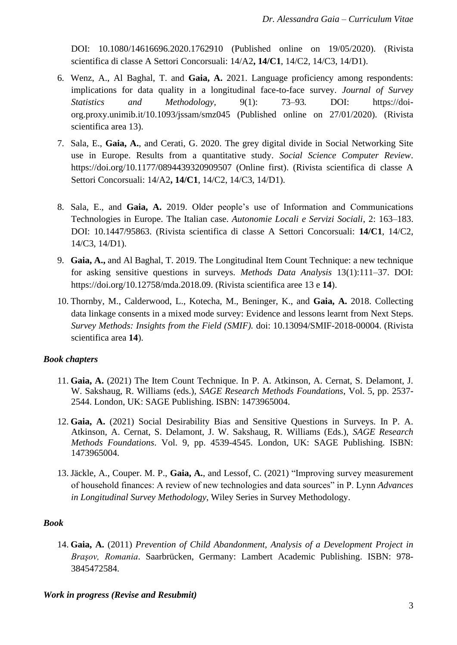DOI: 10.1080/14616696.2020.1762910 (Published online on 19/05/2020). (Rivista scientifica di classe A Settori Concorsuali: 14/A2**, 14/C1**, 14/C2, 14/C3, 14/D1).

- 6. Wenz, A., Al Baghal, T. and **Gaia, A.** 2021. Language proficiency among respondents: implications for data quality in a longitudinal face-to-face survey. *Journal of Survey Statistics and Methodology,* 9(1): 73–93*.* DOI: https://doiorg.proxy.unimib.it/10.1093/jssam/smz045 (Published online on 27/01/2020). (Rivista scientifica area 13).
- 7. Sala, E., **Gaia, A.**, and Cerati, G. 2020. The grey digital divide in Social Networking Site use in Europe. Results from a quantitative study. *Social Science Computer Review*. [https://doi.org/10.1177/0894439320909507](https://doi.org/10.1177%2F0894439320909507) (Online first). (Rivista scientifica di classe A Settori Concorsuali: 14/A2**, 14/C1**, 14/C2, 14/C3, 14/D1).
- 8. Sala, E., and **Gaia, A.** 2019. Older people's use of Information and Communications Technologies in Europe. The Italian case. *Autonomie Locali e Servizi Sociali*, 2: 163–183. DOI: 10.1447/95863. (Rivista scientifica di classe A Settori Concorsuali: **14/C1**, 14/C2, 14/C3, 14/D1).
- 9. **Gaia, A.,** and Al Baghal, T. 2019. The Longitudinal Item Count Technique: a new technique for asking sensitive questions in surveys. *Methods Data Analysis* 13(1):111–37. DOI: [https://doi.org/10.12758/mda.2018.09.](https://doi.org/10.12758/mda.2018.09) (Rivista scientifica aree 13 e **14**).
- 10. Thornby, M., Calderwood, L., Kotecha, M., Beninger, K., and **Gaia, A.** 2018. Collecting data linkage consents in a mixed mode survey: Evidence and lessons learnt from Next Steps. *Survey Methods: Insights from the Field (SMIF).* doi: 10.13094/SMIF-2018-00004. (Rivista scientifica area **14**).

# *Book chapters*

- 11. **Gaia, A.** (2021) The Item Count Technique. In P. A. Atkinson, A. Cernat, S. Delamont, J. W. Sakshaug, R. Williams (eds.), *SAGE Research Methods Foundations*, Vol. 5, pp. 2537- 2544. London, UK: SAGE Publishing. ISBN: 1473965004.
- 12. **Gaia, A.** (2021) Social Desirability Bias and Sensitive Questions in Surveys. In P. A. Atkinson, A. Cernat, S. Delamont, J. W. Sakshaug, R. Williams (Eds.), *SAGE Research Methods Foundations*. Vol. 9, pp. 4539-4545. London, UK: SAGE Publishing. ISBN: 1473965004.
- 13. Jäckle, A., Couper. M. P., **Gaia, A.**, and Lessof, C. (2021) "Improving survey measurement of household finances: A review of new technologies and data sources" in P. Lynn *Advances in Longitudinal Survey Methodology*, Wiley Series in Survey Methodology.

# *Book*

14. **Gaia, A.** (2011) *Prevention of Child Abandonment, Analysis of a Development Project in Braşov, Romania*. Saarbrücken, Germany: Lambert Academic Publishing. ISBN: 978- 3845472584.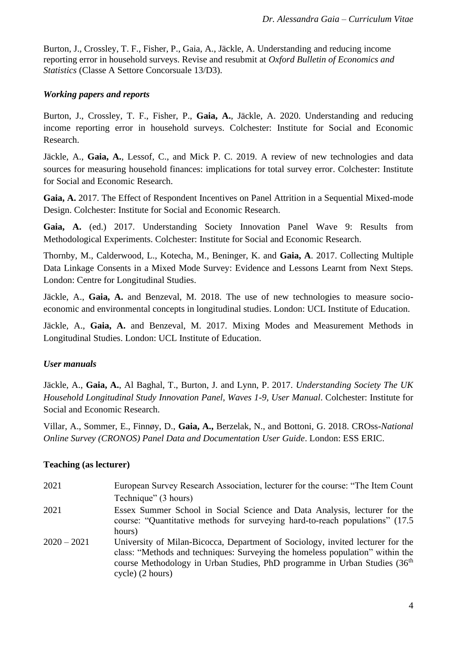[Burton,](https://www.understandingsociety.ac.uk/research/working-papers/author/Jonathan%20Burton) J., [Crossley,](https://www.understandingsociety.ac.uk/research/working-papers/author/Thomas%20F.%20Crossley) T. F., [Fisher,](https://www.understandingsociety.ac.uk/research/working-papers/author/Paul%20Fisher) P., [Gaia,](https://www.understandingsociety.ac.uk/research/working-papers/author/Alessandra%20Gaia) A., [Jäckle,](https://www.understandingsociety.ac.uk/research/working-papers/author/Annette%20J%C3%A4ckle) A. Understanding and reducing income reporting error in household surveys. Revise and resubmit at *Oxford Bulletin of Economics and Statistics* (Classe A Settore Concorsuale 13/D3).

## *Working papers and reports*

[Burton,](https://www.understandingsociety.ac.uk/research/working-papers/author/Jonathan%20Burton) J., [Crossley,](https://www.understandingsociety.ac.uk/research/working-papers/author/Thomas%20F.%20Crossley) T. F., [Fisher,](https://www.understandingsociety.ac.uk/research/working-papers/author/Paul%20Fisher) P., **[Gaia,](https://www.understandingsociety.ac.uk/research/working-papers/author/Alessandra%20Gaia) A.**, [Jäckle,](https://www.understandingsociety.ac.uk/research/working-papers/author/Annette%20J%C3%A4ckle) A. 2020. Understanding and reducing income reporting error in household surveys. Colchester: Institute for Social and Economic Research.

[Jäckle,](https://www.understandingsociety.ac.uk/research/working-papers/author/Annette%20J%C3%A4ckle) A., **[Gaia,](https://www.understandingsociety.ac.uk/research/working-papers/author/Alessandra%20Gaia) A.**, [Lessof,](https://www.understandingsociety.ac.uk/research/working-papers/author/Carli%20Lessof) C., and [Mick P. C.](https://www.understandingsociety.ac.uk/research/working-papers/author/Mick%20P.%20Couper) 2019. A review of new technologies and data sources for measuring household finances: implications for total survey error. Colchester: Institute for Social and Economic Research.

**Gaia, A.** 2017. The Effect of Respondent Incentives on Panel Attrition in a Sequential Mixed-mode Design. Colchester: Institute for Social and Economic Research.

**Gaia, A.** (ed.) 2017. Understanding Society Innovation Panel Wave 9: Results from Methodological Experiments. Colchester: Institute for Social and Economic Research.

Thornby, M., Calderwood, L., Kotecha, M., Beninger, K. and **Gaia, A**. 2017. Collecting Multiple Data Linkage Consents in a Mixed Mode Survey: Evidence and Lessons Learnt from Next Steps. London: Centre for Longitudinal Studies.

Jäckle, A., **Gaia, A.** and Benzeval, M. 2018. The use of new technologies to measure socioeconomic and environmental concepts in longitudinal studies. London: UCL Institute of Education.

Jäckle, A., **Gaia, A.** and Benzeval, M. 2017. Mixing Modes and Measurement Methods in Longitudinal Studies. London: UCL Institute of Education.

# *User manuals*

Jäckle, A., **Gaia, A.**, Al Baghal, T., Burton, J. and Lynn, P. 2017. *Understanding Society The UK Household Longitudinal Study Innovation Panel, Waves 1-9, User Manual*. Colchester: Institute for Social and Economic Research.

Villar, A., Sommer, E., Finnøy, D., **Gaia, A.,** Berzelak, N., and Bottoni, G. 2018. CROss*-National Online Survey (CRONOS) Panel Data and Documentation User Guide*. London: ESS ERIC.

# **Teaching (as lecturer)**

| 2021          | European Survey Research Association, lecturer for the course: "The Item Count                                                                                                                                                                                                 |
|---------------|--------------------------------------------------------------------------------------------------------------------------------------------------------------------------------------------------------------------------------------------------------------------------------|
|               | Technique" (3 hours)                                                                                                                                                                                                                                                           |
| 2021          | Essex Summer School in Social Science and Data Analysis, lecturer for the<br>course: "Quantitative methods for surveying hard-to-reach populations" (17.5)<br>hours)                                                                                                           |
| $2020 - 2021$ | University of Milan-Bicocca, Department of Sociology, invited lecturer for the<br>class: "Methods and techniques: Surveying the homeless population" within the<br>course Methodology in Urban Studies, PhD programme in Urban Studies (36 <sup>th</sup> )<br>cycle) (2 hours) |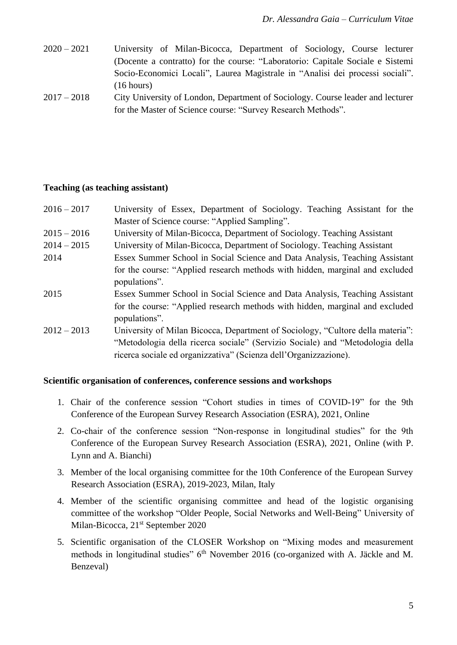- 2020 2021 University of Milan-Bicocca, Department of Sociology, Course lecturer (Docente a contratto) for the course: "Laboratorio: Capitale Sociale e Sistemi Socio-Economici Locali", Laurea Magistrale in "Analisi dei processi sociali". (16 hours)
- 2017 2018 City University of London, Department of Sociology. Course leader and lecturer for the Master of Science course: "Survey Research Methods".

#### **Teaching (as teaching assistant)**

| $2016 - 2017$ | University of Essex, Department of Sociology. Teaching Assistant for the                      |
|---------------|-----------------------------------------------------------------------------------------------|
|               | Master of Science course: "Applied Sampling".                                                 |
| $2015 - 2016$ | University of Milan-Bicocca, Department of Sociology. Teaching Assistant                      |
| $2014 - 2015$ | University of Milan-Bicocca, Department of Sociology. Teaching Assistant                      |
| 2014          | Essex Summer School in Social Science and Data Analysis, Teaching Assistant                   |
|               | for the course: "Applied research methods with hidden, marginal and excluded<br>populations". |
| 2015          | Essex Summer School in Social Science and Data Analysis, Teaching Assistant                   |
|               | for the course: "Applied research methods with hidden, marginal and excluded<br>populations". |
| $2012 - 2013$ | University of Milan Bicocca, Department of Sociology, "Cultore della materia":                |
|               | "Metodologia della ricerca sociale" (Servizio Sociale) and "Metodologia della                 |
|               | ricerca sociale ed organizzativa" (Scienza dell'Organizzazione).                              |

#### **Scientific organisation of conferences, conference sessions and workshops**

- 1. Chair of the conference session "Cohort studies in times of COVID-19" for the 9th Conference of the European Survey Research Association (ESRA), 2021, Online
- 2. Co-chair of the conference session "Non-response in longitudinal studies" for the 9th Conference of the European Survey Research Association (ESRA), 2021, Online (with P. Lynn and A. Bianchi)
- 3. Member of the local organising committee for the 10th Conference of the European Survey Research Association (ESRA), 2019-2023, Milan, Italy
- 4. Member of the scientific organising committee and head of the logistic organising committee of the workshop "Older People, Social Networks and Well-Being" University of Milan-Bicocca, 21<sup>st</sup> September 2020
- 5. Scientific organisation of the CLOSER Workshop on "Mixing modes and measurement methods in longitudinal studies" 6<sup>th</sup> November 2016 (co-organized with A. Jäckle and M. Benzeval)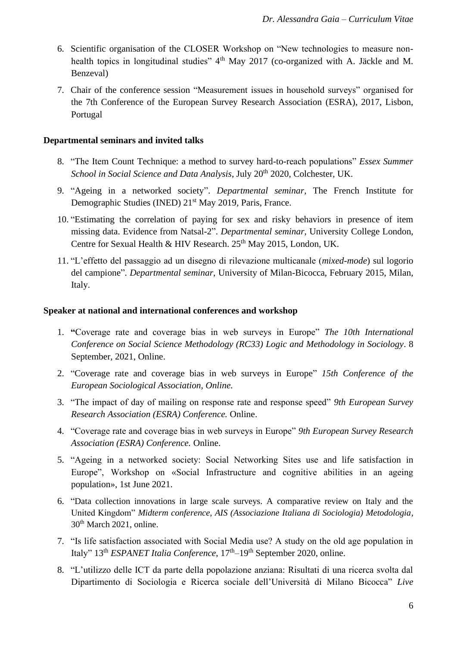- 6. Scientific organisation of the CLOSER Workshop on "New technologies to measure nonhealth topics in longitudinal studies" 4<sup>th</sup> May 2017 (co-organized with A. Jäckle and M. Benzeval)
- 7. Chair of the conference session "Measurement issues in household surveys" organised for the 7th Conference of the European Survey Research Association (ESRA), 2017, Lisbon, Portugal

#### **Departmental seminars and invited talks**

- 8. "The Item Count Technique: a method to survey hard-to-reach populations" *Essex Summer School in Social Science and Data Analysis*, July 20<sup>th</sup> 2020, Colchester, UK.
- 9. "Ageing in a networked society". *Departmental seminar,* The French Institute for Demographic Studies (INED) 21st May 2019*,* Paris, France.
- 10. "Estimating the correlation of paying for sex and risky behaviors in presence of item missing data. Evidence from Natsal-2". *Departmental seminar*, University College London, Centre for Sexual Health & HIV Research. 25<sup>th</sup> May 2015, London, UK.
- 11. "L'effetto del passaggio ad un disegno di rilevazione multicanale (*mixed-mode*) sul logorio del campione". *Departmental seminar*, University of Milan-Bicocca, February 2015, Milan, Italy.

#### **Speaker at national and international conferences and workshop**

- 1. **"**Coverage rate and coverage bias in web surveys in Europe" *The 10th International Conference on Social Science Methodology (RC33) Logic and Methodology in Sociology*. 8 September, 2021, Online.
- 2. "Coverage rate and coverage bias in web surveys in Europe" *15th Conference of the European Sociological Association, Online.*
- 3. "The impact of day of mailing on response rate and response speed" *9th European Survey Research Association (ESRA) Conference.* Online.
- 4. "Coverage rate and coverage bias in web surveys in Europe" *9th European Survey Research Association (ESRA) Conference.* Online.
- 5. "Ageing in a networked society: Social Networking Sites use and life satisfaction in Europe", Workshop on «Social Infrastructure and cognitive abilities in an ageing population», 1st June 2021.
- 6. "Data collection innovations in large scale surveys. A comparative review on Italy and the United Kingdom" *Midterm conference, AIS (Associazione Italiana di Sociologia) Metodologia*, 30<sup>th</sup> March 2021, online.
- 7. "Is life satisfaction associated with Social Media use? A study on the old age population in Italy" 13<sup>th</sup> *ESPANET Italia Conference*, 17<sup>th</sup>–19<sup>th</sup> September 2020, online.
- 8. "L'utilizzo delle ICT da parte della popolazione anziana: Risultati di una ricerca svolta dal Dipartimento di Sociologia e Ricerca sociale dell'Università di Milano Bicocca" *Live*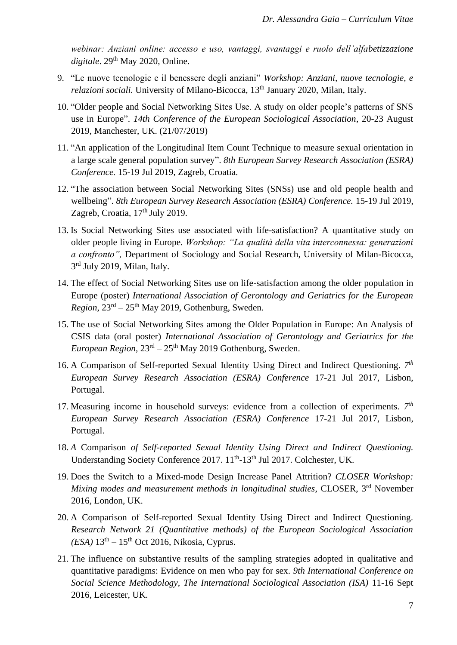*webinar: Anziani online: accesso e uso, vantaggi, svantaggi e ruolo dell'alfabetizzazione*  digitale. 29<sup>th</sup> May 2020, Online.

- 9. "Le nuove tecnologie e il benessere degli anziani" *Workshop: Anziani, nuove tecnologie, e relazioni sociali.* University of Milano-Bicocca, 13<sup>th</sup> January 2020, Milan, Italy.
- 10. "Older people and Social Networking Sites Use. A study on older people's patterns of SNS use in Europe". *14th Conference of the European Sociological Association*, 20-23 August 2019, Manchester, UK. (21/07/2019)
- 11. "An application of the Longitudinal Item Count Technique to measure sexual orientation in a large scale general population survey". *8th European Survey Research Association (ESRA) Conference.* 15-19 Jul 2019, Zagreb, Croatia.
- 12. "The association between Social Networking Sites (SNSs) use and old people health and wellbeing". *8th European Survey Research Association (ESRA) Conference.* 15-19 Jul 2019, Zagreb, Croatia,  $17<sup>th</sup>$  July 2019.
- 13. Is Social Networking Sites use associated with life-satisfaction? A quantitative study on older people living in Europe. *Workshop: "La qualità della vita interconnessa: generazioni a confronto",* Department of Sociology and Social Research, University of Milan-Bicocca, 3<sup>rd</sup> July 2019, Milan, Italy.
- 14. The effect of Social Networking Sites use on life-satisfaction among the older population in Europe (poster) *International Association of Gerontology and Geriatrics for the European*   $Region, 23<sup>rd</sup> – 25<sup>th</sup> May 2019, Gothenburg, Sweden.$
- 15. The use of Social Networking Sites among the Older Population in Europe: An Analysis of CSIS data (oral poster) *International Association of Gerontology and Geriatrics for the European Region*, 23rd – 25th May 2019 Gothenburg, Sweden.
- 16. A Comparison of Self-reported Sexual Identity Using Direct and Indirect Questioning. 7<sup>th</sup> *European Survey Research Association (ESRA) Conference* 17-21 Jul 2017, Lisbon, Portugal.
- 17. Measuring income in household surveys: evidence from a collection of experiments.  $7<sup>th</sup>$ *European Survey Research Association (ESRA) Conference* 17-21 Jul 2017, Lisbon, Portugal.
- 18. *A* Comparison *[of Self-reported Sexual Identity Using Direct and Indirect Questioning.](https://www.understandingsociety.ac.uk/scientific-conference-2017/papers/184.html)*  Understanding Society Conference 2017. 11<sup>th</sup>-13<sup>th</sup> Jul 2017. Colchester, UK.
- 19. Does the Switch to a Mixed-mode Design Increase Panel Attrition? *CLOSER Workshop:*  Mixing modes and measurement methods in longitudinal studies, CLOSER, 3<sup>rd</sup> November 2016, London, UK.
- 20. A Comparison of Self-reported Sexual Identity Using Direct and Indirect Questioning. *Research Network 21 (Quantitative methods) of the European Sociological Association (ESA)* 13th – 15th Oct 2016, Nikosia, Cyprus.
- 21. The influence on substantive results of the sampling strategies adopted in qualitative and quantitative paradigms: Evidence on men who pay for sex. *9th International Conference on Social Science Methodology, The International Sociological Association (ISA)* 11-16 Sept 2016, Leicester, UK.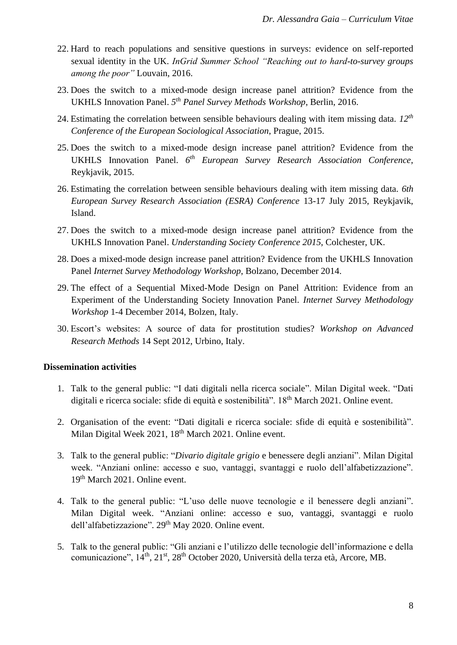- 22. Hard to reach populations and sensitive questions in surveys: evidence on self-reported sexual identity in the UK. *InGrid Summer School "Reaching out to hard-to-survey groups among the poor"* Louvain, 2016.
- 23. Does the switch to a mixed-mode design increase panel attrition? Evidence from the UKHLS Innovation Panel. *5 th Panel Survey Methods Workshop*, Berlin, 2016.
- 24. Estimating the correlation between sensible behaviours dealing with item missing data. *12th Conference of the European Sociological Association*, Prague, 2015.
- 25. Does the switch to a mixed-mode design increase panel attrition? Evidence from the UKHLS Innovation Panel. *6 th European Survey Research Association Conference*, Reykjavik, 2015.
- 26. Estimating the correlation between sensible behaviours dealing with item missing data. *6th European Survey Research Association (ESRA) Conference* 13-17 July 2015, Reykjavik, Island.
- 27. Does the switch to a mixed-mode design increase panel attrition? Evidence from the UKHLS Innovation Panel. *Understanding Society Conference 2015*, Colchester, UK.
- 28. Does a mixed-mode design increase panel attrition? Evidence from the UKHLS Innovation Panel *Internet Survey Methodology Workshop*, Bolzano, December 2014.
- 29. The effect of a Sequential Mixed-Mode Design on Panel Attrition: Evidence from an Experiment of the Understanding Society Innovation Panel. *Internet Survey Methodology Workshop* 1-4 December 2014, Bolzen, Italy.
- 30. Escort's websites: A source of data for prostitution studies? *Workshop on Advanced Research Methods* 14 Sept 2012, Urbino, Italy.

# **Dissemination activities**

- 1. Talk to the general public: "I dati digitali nella ricerca sociale". Milan Digital week. "Dati digitali e ricerca sociale: sfide di equità e sostenibilità". 18th March 2021. Online event.
- 2. Organisation of the event: "Dati digitali e ricerca sociale: sfide di equità e sostenibilità". Milan Digital Week 2021, 18<sup>th</sup> March 2021. Online event.
- 3. Talk to the general public: "*Divario digitale grigio* e benessere degli anziani". Milan Digital week. "Anziani online: accesso e suo, vantaggi, svantaggi e ruolo dell'alfabetizzazione". 19th March 2021. Online event.
- 4. Talk to the general public: "L'uso delle nuove tecnologie e il benessere degli anziani". Milan Digital week. "Anziani online: accesso e suo, vantaggi, svantaggi e ruolo dell'alfabetizzazione". 29<sup>th</sup> May 2020. Online event.
- 5. Talk to the general public: "Gli anziani e l'utilizzo delle tecnologie dell'informazione e della comunicazione",  $14^{\text{th}}$ ,  $21^{\text{st}}$ ,  $28^{\text{th}}$  October 2020, Università della terza età, Arcore, MB.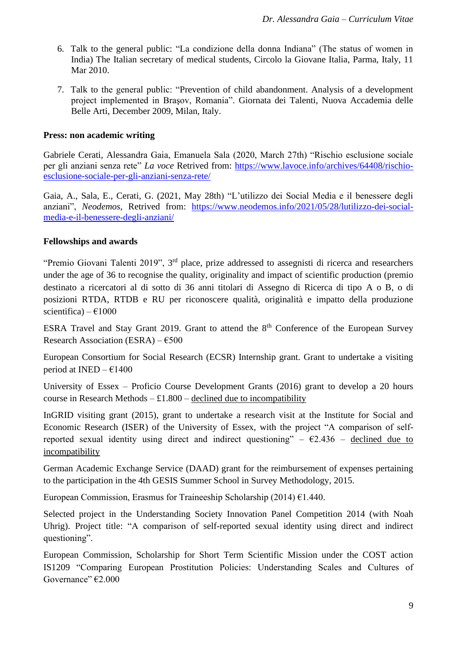- 6. Talk to the general public: "La condizione della donna Indiana" (The status of women in India) The Italian secretary of medical students, Circolo la Giovane Italia, Parma, Italy, 11 Mar 2010.
- 7. Talk to the general public: "Prevention of child abandonment. Analysis of a development project implemented in Braşov, Romania". Giornata dei Talenti, Nuova Accademia delle Belle Arti, December 2009, Milan, Italy.

## **Press: non academic writing**

Gabriele Cerati, Alessandra Gaia, Emanuela Sala (2020, March 27th) "Rischio esclusione sociale per gli anziani senza rete" *La voce* Retrived from: [https://www.lavoce.info/archives/64408/rischio](https://www.lavoce.info/archives/64408/rischio-esclusione-sociale-per-gli-anziani-senza-rete/)[esclusione-sociale-per-gli-anziani-senza-rete/](https://www.lavoce.info/archives/64408/rischio-esclusione-sociale-per-gli-anziani-senza-rete/)

Gaia, A., Sala, E., Cerati, G. (2021, May 28th) "L'utilizzo dei Social Media e il benessere degli anziani", *Neodemos*, Retrived from: [https://www.neodemos.info/2021/05/28/lutilizzo-dei-social](https://www.neodemos.info/2021/05/28/lutilizzo-dei-social-media-e-il-benessere-degli-anziani/)[media-e-il-benessere-degli-anziani/](https://www.neodemos.info/2021/05/28/lutilizzo-dei-social-media-e-il-benessere-degli-anziani/)

#### **Fellowships and awards**

"Premio Giovani Talenti 2019", 3<sup>rd</sup> place, prize addressed to assegnisti di ricerca and researchers under the age of 36 to recognise the quality, originality and impact of scientific production (premio destinato a ricercatori al di sotto di 36 anni titolari di Assegno di Ricerca di tipo A o B, o di posizioni RTDA, RTDB e RU per riconoscere qualità, originalità e impatto della produzione scientifica) –  $\epsilon$ 1000

ESRA Travel and Stay Grant 2019. Grant to attend the  $8<sup>th</sup>$  Conference of the European Survey Research Association (ESRA) –  $€500$ 

European Consortium for Social Research (ECSR) Internship grant. Grant to undertake a visiting period at INED –  $\epsilon$ 1400

University of Essex – Proficio Course Development Grants (2016) grant to develop a 20 hours course in Research Methods  $- £1.800 -$  declined due to incompatibility

InGRID visiting grant (2015), grant to undertake a research visit at the Institute for Social and Economic Research (ISER) of the University of Essex, with the project "A comparison of selfreported sexual identity using direct and indirect questioning" –  $\epsilon$ 2.436 – declined due to incompatibility

German Academic Exchange Service (DAAD) grant for the reimbursement of expenses pertaining to the participation in the 4th GESIS Summer School in Survey Methodology, 2015.

European Commission, Erasmus for Traineeship Scholarship (2014)  $\epsilon$ 1.440.

Selected project in the Understanding Society Innovation Panel Competition 2014 (with Noah Uhrig). Project title: "A comparison of self-reported sexual identity using direct and indirect questioning".

European Commission, Scholarship for Short Term Scientific Mission under the COST action IS1209 "Comparing European Prostitution Policies: Understanding Scales and Cultures of Governance" €2.000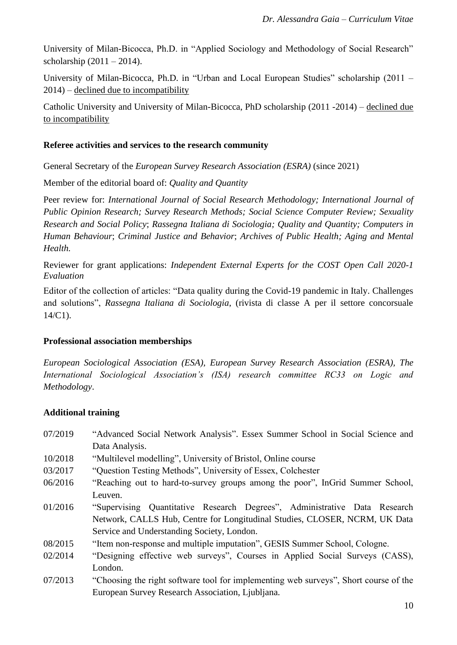University of Milan-Bicocca, Ph.D. in "Applied Sociology and Methodology of Social Research" scholarship  $(2011 - 2014)$ .

University of Milan-Bicocca, Ph.D. in "Urban and Local European Studies" scholarship (2011 – 2014) – declined due to incompatibility

Catholic University and University of Milan-Bicocca, PhD scholarship (2011 -2014) – declined due to incompatibility

#### **Referee activities and services to the research community**

General Secretary of the *European Survey Research Association (ESRA)* (since 2021)

Member of the editorial board of: *Quality and Quantity*

Peer review for: *International Journal of Social Research Methodology; International Journal of Public Opinion Research; Survey Research Methods; Social Science Computer Review; Sexuality Research and Social Policy*; *Rassegna Italiana di Sociologia; Quality and Quantity; Computers in Human Behaviour*; *Criminal Justice and Behavior*; *Archives of Public Health; Aging and Mental Health.*

Reviewer for grant applications: *Independent External Experts for the COST Open Call 2020-1 Evaluation*

Editor of the collection of articles: "Data quality during the Covid-19 pandemic in Italy. Challenges and solutions", *Rassegna Italiana di Sociologia*, (rivista di classe A per il settore concorsuale 14/C1).

#### **Professional association memberships**

*European Sociological Association (ESA), European Survey Research Association (ESRA), The International Sociological Association's (ISA) research committee RC33 on Logic and Methodology*.

# **Additional training**

- 07/2019 "Advanced Social Network Analysis". Essex Summer School in Social Science and Data Analysis.
- 10/2018 "Multilevel modelling", University of Bristol, Online course
- 03/2017 "Question Testing Methods", University of Essex, Colchester
- 06/2016 "Reaching out to hard-to-survey groups among the poor", InGrid Summer School, Leuven.
- 01/2016 "Supervising Quantitative Research Degrees", Administrative Data Research Network, CALLS Hub, Centre for Longitudinal Studies, CLOSER, NCRM, UK Data Service and Understanding Society, London.
- 08/2015 "Item non-response and multiple imputation", GESIS Summer School, Cologne.
- 02/2014 "Designing effective web surveys", Courses in Applied Social Surveys (CASS), London.
- 07/2013 "Choosing the right software tool for implementing web surveys", Short course of the European Survey Research Association, Ljubljana.